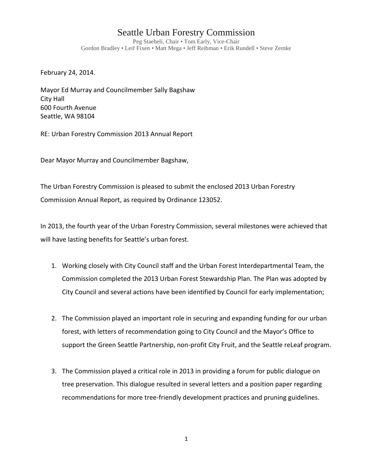## Seattle Urban Forestry Commission

Peg Staeheli, Chair • Tom Early, Vice-Chair Gordon Bradley • Leif Fixen • Matt Mega • Jeff Reibman • Erik Rundell • Steve Zemke

February 24, 2014.

Mayor Ed Murray and Councilmember Sally Bagshaw City Hall 600 Fourth Avenue Seattle, WA 98104

RE: Urban Forestry Commission 2013 Annual Report

Dear Mayor Murray and Councilmember Bagshaw,

The Urban Forestry Commission is pleased to submit the enclosed 2013 Urban Forestry Commission Annual Report, as required by Ordinance 123052.

In 2013, the fourth year of the Urban Forestry Commission, several milestones were achieved that will have lasting benefits for Seattle's urban forest.

- 1. Working closely with City Council staff and the Urban Forest Interdepartmental Team, the Commission completed the 2013 Urban Forest Stewardship Plan. The Plan was adopted by City Council and several actions have been identified by Council for early implementation;
- 2. The Commission played an important role in securing and expanding funding for our urban forest, with letters of recommendation going to City Council and the Mayor's Office to support the Green Seattle Partnership, non-profit City Fruit, and the Seattle reLeaf program.
- 3. The Commission played a critical role in 2013 in providing a forum for public dialogue on tree preservation. This dialogue resulted in several letters and a position paper regarding recommendations for more tree-friendly development practices and pruning guidelines.

1